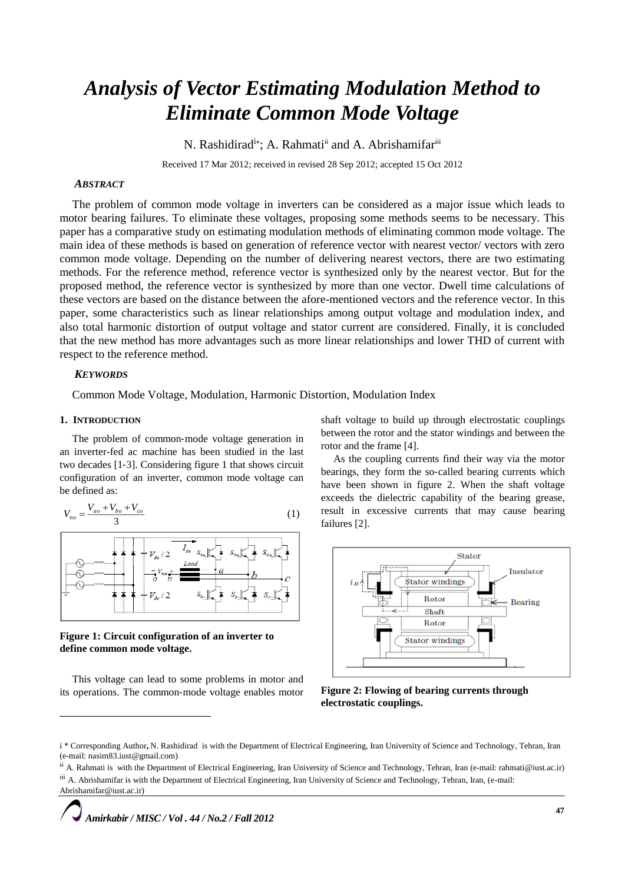# *Analysis of Vector Estimating Modulation Method to Eliminate Common Mode Voltage*

N. Rashidirad<sup>i\*</sup>; A. Rahmati<sup>ii</sup> and A. Abrishamifar<sup>iii</sup>

Received 17 Mar 2012; received in revised 28 Sep 2012; accepted 15 Oct 2012

## *ABSTRACT*

The problem of common mode voltage in inverters can be considered as a major issue which leads to motor bearing failures. To eliminate these voltages, proposing some methods seems to be necessary. This paper has a comparative study on estimating modulation methods of eliminating common mode voltage. The main idea of these methods is based on generation of reference vector with nearest vector/ vectors with zero common mode voltage. Depending on the number of delivering nearest vectors, there are two estimating methods. For the reference method, reference vector is synthesized only by the nearest vector. But for the proposed method, the reference vector is synthesized by more than one vector. Dwell time calculations of these vectors are based on the distance between the afore-mentioned vectors and the reference vector. In this paper, some characteristics such as linear relationships among output voltage and modulation index, and also total harmonic distortion of output voltage and stator current are considered. Finally, it is concluded that the new method has more advantages such as more linear relationships and lower THD of current with respect to the reference method.

## *KEYWORDS*

Common Mode Voltage, Modulation, Harmonic Distortion, Modulation Index

#### **1. INTRODUCTION**

-

The problem of common‐mode voltage generation in an inverter-fed ac machine has been studied in the last two decades [1‐3]. Considering figure 1 that shows circuit configuration of an inverter, common mode voltage can be defined as:

$$
V_{no} = \frac{V_{ao} + V_{bo} + V_{co}}{3} \tag{1}
$$



**Figure 1: Circuit configuration of an inverter to define common mode voltage.**

This voltage can lead to some problems in motor and its operations. The common‐mode voltage enables motor shaft voltage to build up through electrostatic couplings between the rotor and the stator windings and between the rotor and the frame [4].

As the coupling currents find their way via the motor bearings, they form the so-called bearing currents which have been shown in figure 2. When the shaft voltage exceeds the dielectric capability of the bearing grease, result in excessive currents that may cause bearing failures [2].



**Figure 2: Flowing of bearing currents through electrostatic couplings.**

i \* Corresponding Author**,** N. Rashidirad is with the Department of Electrical Engineering, Iran University of Science and Technology, Tehran, Iran (e-mail: nasim83.iust@gmail.com)

<sup>&</sup>lt;sup>ii</sup> A. Rahmati is with the Department of Electrical Engineering, Iran University of Science and Technology, Tehran, Iran (e-mail: rahmati@iust.ac.ir) iii A. Abrishamifar is with the Department of Electrical Engineering, Iran University of Science and Technology, Tehran, Iran, (e-mail: Abrishamifar@iust.ac.ir)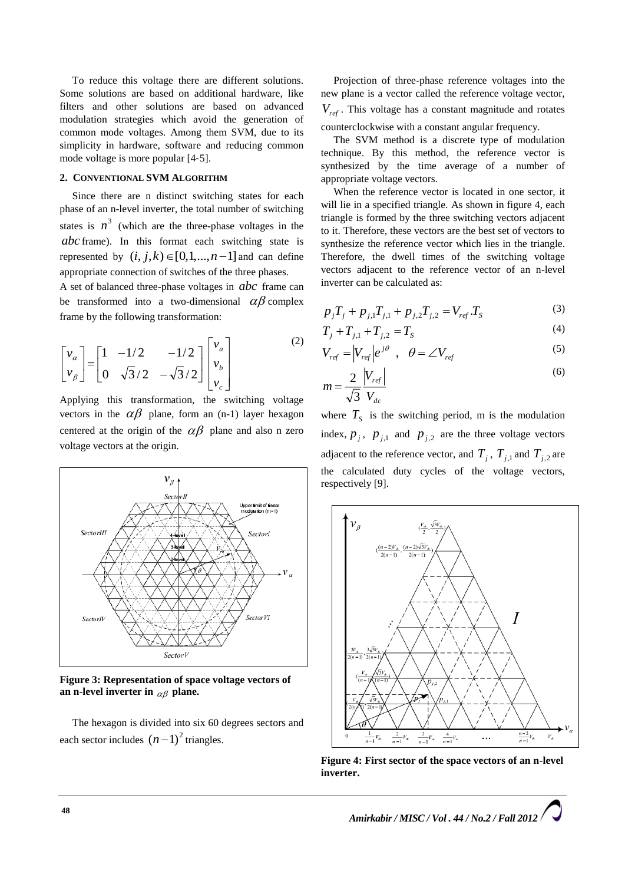To reduce this voltage there are different solutions. Some solutions are based on additional hardware, like filters and other solutions are based on advanced modulation strategies which avoid the generation of common mode voltages. Among them SVM, due to its simplicity in hardware, software and reducing common mode voltage is more popular [4‐5].

## **2. CONVENTIONAL SVM ALGORITHM**

Since there are n distinct switching states for each phase of an n-level inverter, the total number of switching states is  $n^3$  (which are the three-phase voltages in the *abc* frame). In this format each switching state is represented by  $(i, j, k) \in [0, 1, \ldots, n-1]$  and can define appropriate connection of switches of the three phases.

A set of balanced three-phase voltages in *abc* frame can be transformed into a two-dimensional  $\alpha\beta$  complex frame by the following transformation:

$$
\begin{bmatrix} v_{\alpha} \\ v_{\beta} \end{bmatrix} = \begin{bmatrix} 1 & -1/2 & -1/2 \\ 0 & \sqrt{3}/2 & -\sqrt{3}/2 \end{bmatrix} \begin{bmatrix} v_{\alpha} \\ v_{\beta} \\ v_{c} \end{bmatrix}
$$
 (2)

Applying this transformation, the switching voltage vectors in the  $\alpha\beta$  plane, form an (n-1) layer hexagon centered at the origin of the  $\alpha\beta$  plane and also n zero voltage vectors at the origin.



**Figure 3: Representation of space voltage vectors of**  an n-level inverter in  $_{\alpha\beta}$  plane.

The hexagon is divided into six 60 degrees sectors and each sector includes  $(n-1)^2$  triangles.

Projection of three-phase reference voltages into the new plane is a vector called the reference voltage vector, *Vref* . This voltage has a constant magnitude and rotates counterclockwise with a constant angular frequency.

The SVM method is a discrete type of modulation technique. By this method, the reference vector is synthesized by the time average of a number of appropriate voltage vectors.

When the reference vector is located in one sector, it will lie in a specified triangle. As shown in figure 4, each triangle is formed by the three switching vectors adjacent to it. Therefore, these vectors are the best set of vectors to synthesize the reference vector which lies in the triangle. Therefore, the dwell times of the switching voltage vectors adjacent to the reference vector of an n-level inverter can be calculated as:

$$
p_j T_j + p_{j,1} T_{j,1} + p_{j,2} T_{j,2} = V_{ref} T_S \tag{3}
$$

$$
T_j + T_{j,1} + T_{j,2} = T_S \tag{4}
$$

$$
V_{ref} = |V_{ref}|e^{j\theta} , \quad \theta = \angle V_{ref}
$$
 (5)

$$
m = \frac{2}{\sqrt{3}} \frac{|V_{ref}|}{V_{dc}}
$$
 (6)

where  $T<sub>S</sub>$  is the switching period, m is the modulation index,  $p_j$ ,  $p_{j,1}$  and  $p_{j,2}$  are the three voltage vectors adjacent to the reference vector, and  $T_j$ ,  $T_{j,1}$  and  $T_{j,2}$  are the calculated duty cycles of the voltage vectors, respectively [9].



**Figure 4: First sector of the space vectors of an n-level inverter.**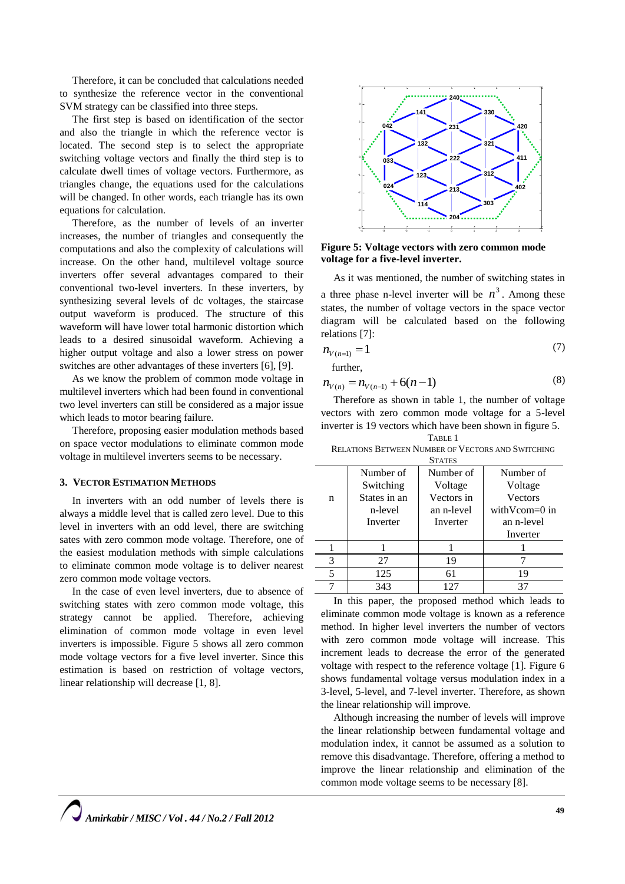Therefore, it can be concluded that calculations needed to synthesize the reference vector in the conventional SVM strategy can be classified into three steps.

The first step is based on identification of the sector and also the triangle in which the reference vector is located. The second step is to select the appropriate switching voltage vectors and finally the third step is to calculate dwell times of voltage vectors. Furthermore, as triangles change, the equations used for the calculations will be changed. In other words, each triangle has its own equations for calculation.

Therefore, as the number of levels of an inverter increases, the number of triangles and consequently the computations and also the complexity of calculations will increase. On the other hand, multilevel voltage source inverters offer several advantages compared to their conventional two-level inverters. In these inverters, by synthesizing several levels of dc voltages, the staircase output waveform is produced. The structure of this waveform will have lower total harmonic distortion which leads to a desired sinusoidal waveform. Achieving a higher output voltage and also a lower stress on power switches are other advantages of these inverters [6], [9].

As we know the problem of common mode voltage in multilevel inverters which had been found in conventional two level inverters can still be considered as a major issue which leads to motor bearing failure.

Therefore, proposing easier modulation methods based on space vector modulations to eliminate common mode voltage in multilevel inverters seems to be necessary.

### **3. VECTOR ESTIMATION METHODS**

In inverters with an odd number of levels there is always a middle level that is called zero level. Due to this level in inverters with an odd level, there are switching sates with zero common mode voltage. Therefore, one of the easiest modulation methods with simple calculations to eliminate common mode voltage is to deliver nearest zero common mode voltage vectors.

In the case of even level inverters, due to absence of switching states with zero common mode voltage, this strategy cannot be applied. Therefore, achieving elimination of common mode voltage in even level inverters is impossible. Figure 5 shows all zero common mode voltage vectors for a five level inverter. Since this estimation is based on restriction of voltage vectors, linear relationship will decrease [1, 8].



**Figure 5: Voltage vectors with zero common mode voltage for a five-level inverter.**

As it was mentioned, the number of switching states in a three phase n-level inverter will be  $n^3$ . Among these states, the number of voltage vectors in the space vector diagram will be calculated based on the following relations [7]:

$$
n_{V(n=1)} = 1\tag{7}
$$

further,

$$
n_{V(n)} = n_{V(n-1)} + 6(n-1) \tag{8}
$$

Therefore as shown in table 1, the number of voltage vectors with zero common mode voltage for a 5-level inverter is 19 vectors which have been shown in figure 5. TABLE 1

RELATIONS BETWEEN NUMBER OF VECTORS AND SWITCHING

| <b>STATES</b> |              |            |                         |
|---------------|--------------|------------|-------------------------|
|               | Number of    | Number of  | Number of               |
|               | Switching    | Voltage    | Voltage                 |
| n             | States in an | Vectors in | <b>Vectors</b>          |
|               | n-level      | an n-level | with $V_{\rm com=0}$ in |
|               | Inverter     | Inverter   | an n-level              |
|               |              |            | Inverter                |
|               |              |            |                         |
| 3             | 27           | 19         |                         |
| 5             | 125          | 61         | 19                      |
|               | 343          | 127        | 37                      |

In this paper, the proposed method which leads to eliminate common mode voltage is known as a reference method. In higher level inverters the number of vectors with zero common mode voltage will increase. This increment leads to decrease the error of the generated voltage with respect to the reference voltage [1]. Figure 6 shows fundamental voltage versus modulation index in a 3-level, 5-level, and 7-level inverter. Therefore, as shown the linear relationship will improve.

Although increasing the number of levels will improve the linear relationship between fundamental voltage and modulation index, it cannot be assumed as a solution to remove this disadvantage. Therefore, offering a method to improve the linear relationship and elimination of the common mode voltage seems to be necessary [8].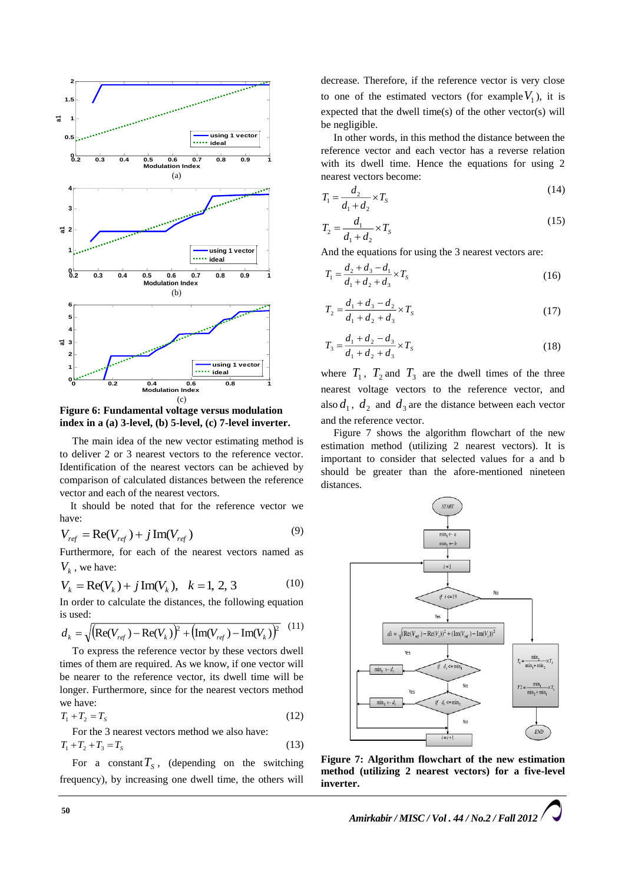

**Figure 6: Fundamental voltage versus modulation index in a (a) 3-level, (b) 5-level, (c) 7-level inverter.**

The main idea of the new vector estimating method is to deliver 2 or 3 nearest vectors to the reference vector. Identification of the nearest vectors can be achieved by comparison of calculated distances between the reference vector and each of the nearest vectors.

It should be noted that for the reference vector we have:

$$
V_{ref} = \text{Re}(V_{ref}) + j \,\text{Im}(V_{ref}) \tag{9}
$$

Furthermore, for each of the nearest vectors named as  $V_k$ , we have:

$$
V_k = \text{Re}(V_k) + j \,\text{Im}(V_k), \quad k = 1, 2, 3 \tag{10}
$$

In order to calculate the distances, the following equation is used:

$$
d_k = \sqrt{\left(\text{Re}(V_{ref}) - \text{Re}(V_k)\right)^2 + \left(\text{Im}(V_{ref}) - \text{Im}(V_k)\right)^2} \tag{11}
$$

To express the reference vector by these vectors dwell times of them are required. As we know, if one vector will be nearer to the reference vector, its dwell time will be longer. Furthermore, since for the nearest vectors method we have:

$$
T_1 + T_2 = T_S \tag{12}
$$

For the 3 nearest vectors method we also have:  

$$
T_1 + T_2 + T_3 = T_s
$$
 (13)

For a constant  $T_s$ , (depending on the switching frequency), by increasing one dwell time, the others will

decrease. Therefore, if the reference vector is very close to one of the estimated vectors (for example  $V_1$ ), it is expected that the dwell time(s) of the other vector(s) will be negligible.

In other words, in this method the distance between the reference vector and each vector has a reverse relation with its dwell time. Hence the equations for using 2 nearest vectors become:

$$
T_1 = \frac{d_2}{d_1 + d_2} \times T_S
$$
 (14)

$$
T_2 = \frac{d_1}{d_1 + d_2} \times T_s
$$
 (15)

And the equations for using the 3 nearest vectors are:

$$
T_1 = \frac{d_2 + d_3 - d_1}{d_1 + d_2 + d_3} \times T_S
$$
\n(16)

$$
T_2 = \frac{d_1 + d_3 - d_2}{d_1 + d_2 + d_3} \times T_s \tag{17}
$$

$$
T_3 = \frac{d_1 + d_2 - d_3}{d_1 + d_2 + d_3} \times T_5
$$
 (18)

where  $T_1$ ,  $T_2$  and  $T_3$  are the dwell times of the three nearest voltage vectors to the reference vector, and also  $d_1$ ,  $d_2$  and  $d_3$  are the distance between each vector and the reference vector.

Figure 7 shows the algorithm flowchart of the new estimation method (utilizing 2 nearest vectors). It is important to consider that selected values for a and b should be greater than the afore-mentioned nineteen distances.



**Figure 7: Algorithm flowchart of the new estimation method (utilizing 2 nearest vectors) for a five-level inverter.**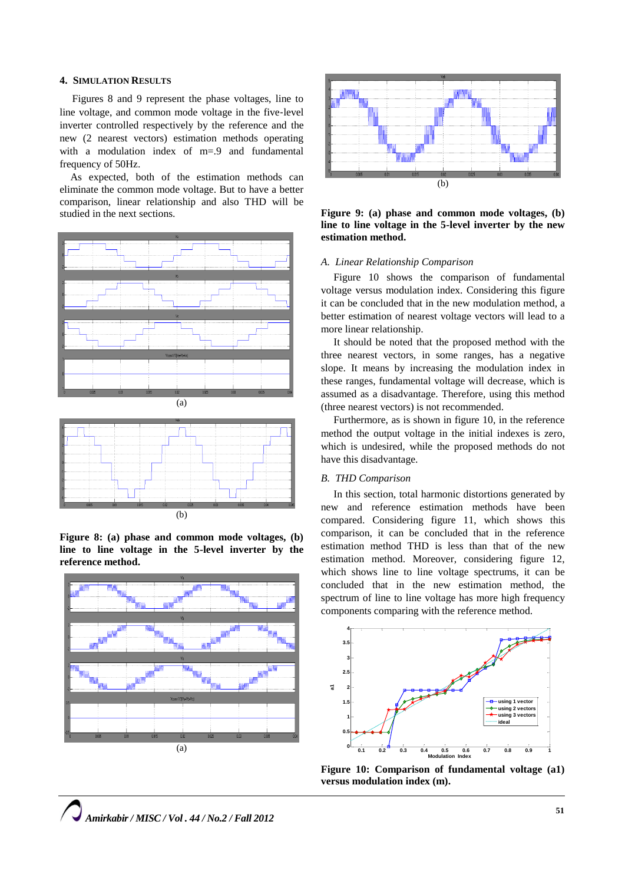## **4. SIMULATION RESULTS**

Figures 8 and 9 represent the phase voltages, line to line voltage, and common mode voltage in the five‐level inverter controlled respectively by the reference and the new (2 nearest vectors) estimation methods operating with a modulation index of m=.9 and fundamental frequency of 50Hz.

As expected, both of the estimation methods can eliminate the common mode voltage. But to have a better comparison, linear relationship and also THD will be studied in the next sections.





**Figure 8: (a) phase and common mode voltages, (b) line to line voltage in the 5-level inverter by the reference method.**





**Figure 9: (a) phase and common mode voltages, (b) line to line voltage in the 5-level inverter by the new estimation method.**

#### *A. Linear Relationship Comparison*

Figure 10 shows the comparison of fundamental voltage versus modulation index. Considering this figure it can be concluded that in the new modulation method, a better estimation of nearest voltage vectors will lead to a more linear relationship.

It should be noted that the proposed method with the three nearest vectors, in some ranges, has a negative slope. It means by increasing the modulation index in these ranges, fundamental voltage will decrease, which is assumed as a disadvantage. Therefore, using this method (three nearest vectors) is not recommended.

Furthermore, as is shown in figure 10, in the reference method the output voltage in the initial indexes is zero, which is undesired, while the proposed methods do not have this disadvantage.

## *B. THD Comparison*

In this section, total harmonic distortions generated by new and reference estimation methods have been compared. Considering figure 11, which shows this comparison, it can be concluded that in the reference estimation method THD is less than that of the new estimation method. Moreover, considering figure 12, which shows line to line voltage spectrums, it can be concluded that in the new estimation method, the spectrum of line to line voltage has more high frequency components comparing with the reference method.



**Figure 10: Comparison of fundamental voltage (a1) versus modulation index (m).**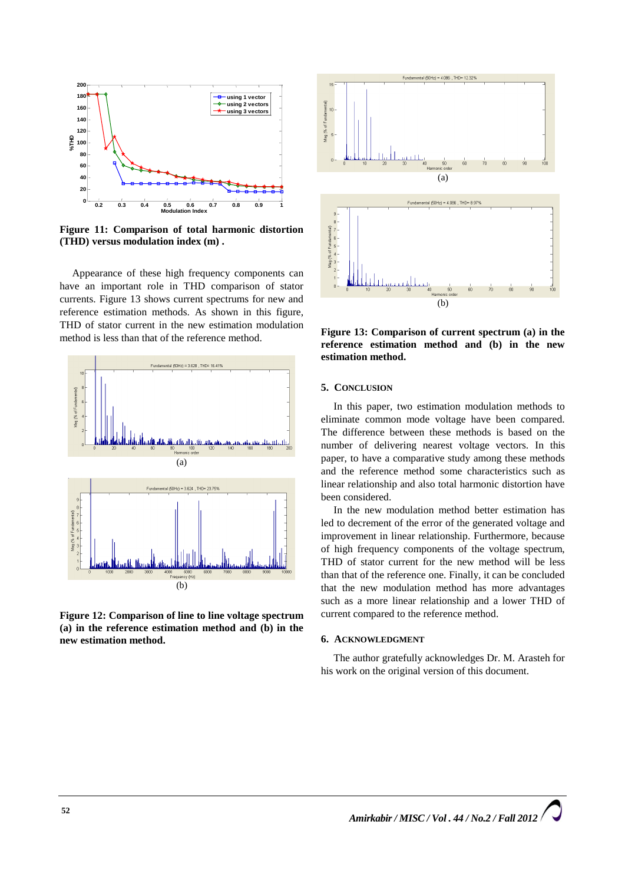

**Figure 11: Comparison of total harmonic distortion (THD) versus modulation index (m) .**

Appearance of these high frequency components can have an important role in THD comparison of stator currents. Figure 13 shows current spectrums for new and reference estimation methods. As shown in this figure, THD of stator current in the new estimation modulation method is less than that of the reference method.



**Figure 12: Comparison of line to line voltage spectrum (a) in the reference estimation method and (b) in the new estimation method.**



**Figure 13: Comparison of current spectrum (a) in the reference estimation method and (b) in the new estimation method.**

## **5. CONCLUSION**

In this paper, two estimation modulation methods to eliminate common mode voltage have been compared. The difference between these methods is based on the number of delivering nearest voltage vectors. In this paper, to have a comparative study among these methods and the reference method some characteristics such as linear relationship and also total harmonic distortion have been considered.

In the new modulation method better estimation has led to decrement of the error of the generated voltage and improvement in linear relationship. Furthermore, because of high frequency components of the voltage spectrum, THD of stator current for the new method will be less than that of the reference one. Finally, it can be concluded that the new modulation method has more advantages such as a more linear relationship and a lower THD of current compared to the reference method.

### **6. ACKNOWLEDGMENT**

The author gratefully acknowledges Dr. M. Arasteh for his work on the original version of this document.